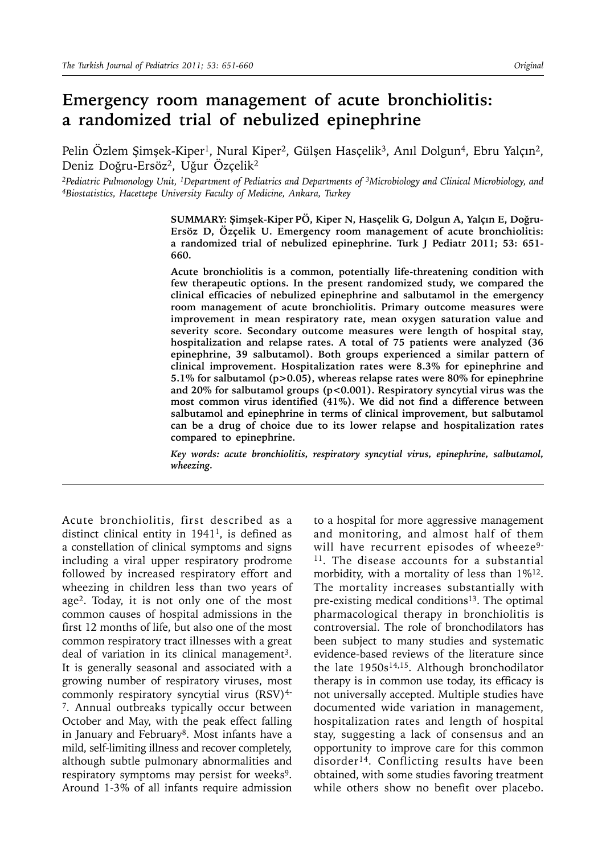# **Emergency room management of acute bronchiolitis: a randomized trial of nebulized epinephrine**

Pelin Özlem Şimşek-Kiper<sup>1</sup>, Nural Kiper<sup>2</sup>, Gülşen Hasçelik<sup>3</sup>, Anıl Dolgun<sup>4</sup>, Ebru Yalçın<sup>2</sup>, Deniz Doğru-Ersöz2, Uğur Özçelik2

*2Pediatric Pulmonology Unit, 1Department of Pediatrics and Departments of 3Microbiology and Clinical Microbiology, and 4Biostatistics, Hacettepe University Faculty of Medicine, Ankara, Turkey*

**SUMMARY: Şimşek-Kiper PÖ, Kiper N, Hasçelik G, Dolgun A, Yalçın E, Doğru-Ersöz D, Özçelik U. Emergency room management of acute bronchiolitis: a randomized trial of nebulized epinephrine. Turk J Pediatr 2011; 53: 651- 660.**

**Acute bronchiolitis is a common, potentially life-threatening condition with few therapeutic options. In the present randomized study, we compared the clinical efficacies of nebulized epinephrine and salbutamol in the emergency room management of acute bronchiolitis. Primary outcome measures were improvement in mean respiratory rate, mean oxygen saturation value and severity score. Secondary outcome measures were length of hospital stay, hospitalization and relapse rates. A total of 75 patients were analyzed (36 epinephrine, 39 salbutamol). Both groups experienced a similar pattern of clinical improvement. Hospitalization rates were 8.3% for epinephrine and 5.1% for salbutamol (p>0.05), whereas relapse rates were 80% for epinephrine and 20% for salbutamol groups (p<0.001). Respiratory syncytial virus was the most common virus identified (41%). We did not find a difference between salbutamol and epinephrine in terms of clinical improvement, but salbutamol can be a drug of choice due to its lower relapse and hospitalization rates compared to epinephrine.**

*Key words: acute bronchiolitis, respiratory syncytial virus, epinephrine, salbutamol, wheezing.*

Acute bronchiolitis, first described as a distinct clinical entity in  $1941<sup>1</sup>$ , is defined as a constellation of clinical symptoms and signs including a viral upper respiratory prodrome followed by increased respiratory effort and wheezing in children less than two years of age<sup>2</sup>. Today, it is not only one of the most common causes of hospital admissions in the first 12 months of life, but also one of the most common respiratory tract illnesses with a great deal of variation in its clinical management<sup>3</sup>. It is generally seasonal and associated with a growing number of respiratory viruses, most commonly respiratory syncytial virus  $(RSV)^{4-}$ 7. Annual outbreaks typically occur between October and May, with the peak effect falling in January and February<sup>8</sup>. Most infants have a mild, self-limiting illness and recover completely, although subtle pulmonary abnormalities and respiratory symptoms may persist for weeks<sup>9</sup>. Around 1-3% of all infants require admission

to a hospital for more aggressive management and monitoring, and almost half of them will have recurrent episodes of wheeze<sup>9-</sup> <sup>11</sup>. The disease accounts for a substantial morbidity, with a mortality of less than 1%12. The mortality increases substantially with pre-existing medical conditions<sup>13</sup>. The optimal pharmacological therapy in bronchiolitis is controversial. The role of bronchodilators has been subject to many studies and systematic evidence-based reviews of the literature since the late 1950s<sup>14,15</sup>. Although bronchodilator therapy is in common use today, its efficacy is not universally accepted. Multiple studies have documented wide variation in management, hospitalization rates and length of hospital stay, suggesting a lack of consensus and an opportunity to improve care for this common disorder<sup>14</sup>. Conflicting results have been obtained, with some studies favoring treatment while others show no benefit over placebo.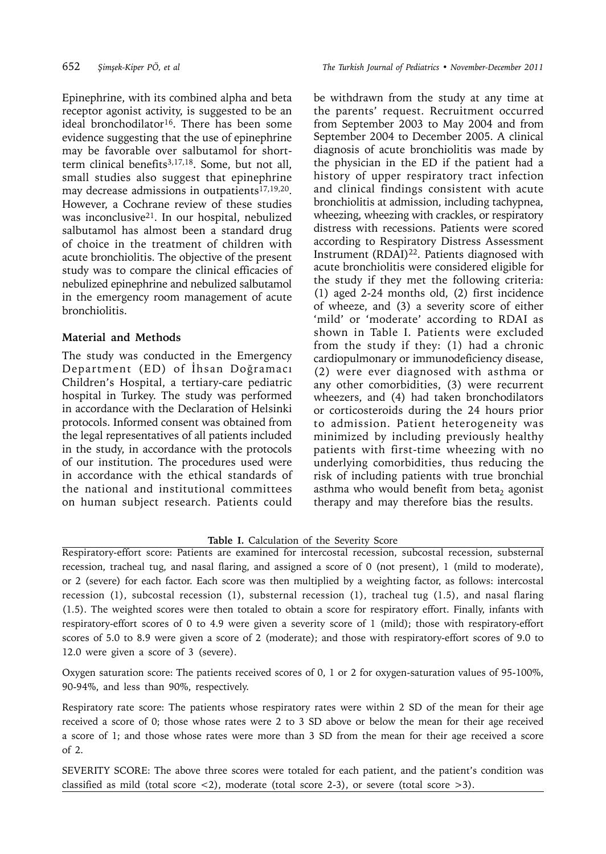Epinephrine, with its combined alpha and beta receptor agonist activity, is suggested to be an ideal bronchodilator<sup>16</sup>. There has been some evidence suggesting that the use of epinephrine may be favorable over salbutamol for shortterm clinical benefits<sup>3,17,18</sup>. Some, but not all, small studies also suggest that epinephrine may decrease admissions in outpatients<sup>17,19,20</sup>. However, a Cochrane review of these studies was inconclusive21. In our hospital, nebulized salbutamol has almost been a standard drug of choice in the treatment of children with acute bronchiolitis. The objective of the present study was to compare the clinical efficacies of nebulized epinephrine and nebulized salbutamol in the emergency room management of acute bronchiolitis.

### **Material and Methods**

The study was conducted in the Emergency Department (ED) of İhsan Doğramacı Children's Hospital, a tertiary-care pediatric hospital in Turkey. The study was performed in accordance with the Declaration of Helsinki protocols. Informed consent was obtained from the legal representatives of all patients included in the study, in accordance with the protocols of our institution. The procedures used were in accordance with the ethical standards of the national and institutional committees on human subject research. Patients could be withdrawn from the study at any time at the parents' request. Recruitment occurred from September 2003 to May 2004 and from September 2004 to December 2005. A clinical diagnosis of acute bronchiolitis was made by the physician in the ED if the patient had a history of upper respiratory tract infection and clinical findings consistent with acute bronchiolitis at admission, including tachypnea, wheezing, wheezing with crackles, or respiratory distress with recessions. Patients were scored according to Respiratory Distress Assessment Instrument (RDAI)<sup>22</sup>. Patients diagnosed with acute bronchiolitis were considered eligible for the study if they met the following criteria: (1) aged 2-24 months old, (2) first incidence of wheeze, and (3) a severity score of either 'mild' or 'moderate' according to RDAI as shown in Table I. Patients were excluded from the study if they: (1) had a chronic cardiopulmonary or immunodeficiency disease, (2) were ever diagnosed with asthma or any other comorbidities, (3) were recurrent wheezers, and (4) had taken bronchodilators or corticosteroids during the 24 hours prior to admission. Patient heterogeneity was minimized by including previously healthy patients with first-time wheezing with no underlying comorbidities, thus reducing the risk of including patients with true bronchial asthma who would benefit from beta, agonist therapy and may therefore bias the results.

# **Table I.** Calculation of the Severity Score

Respiratory-effort score: Patients are examined for intercostal recession, subcostal recession, substernal recession, tracheal tug, and nasal flaring, and assigned a score of 0 (not present), 1 (mild to moderate), or 2 (severe) for each factor. Each score was then multiplied by a weighting factor, as follows: intercostal recession (1), subcostal recession (1), substernal recession (1), tracheal tug (1.5), and nasal flaring (1.5). The weighted scores were then totaled to obtain a score for respiratory effort. Finally, infants with respiratory-effort scores of 0 to 4.9 were given a severity score of 1 (mild); those with respiratory-effort scores of 5.0 to 8.9 were given a score of 2 (moderate); and those with respiratory-effort scores of 9.0 to 12.0 were given a score of 3 (severe).

Oxygen saturation score: The patients received scores of 0, 1 or 2 for oxygen-saturation values of 95-100%, 90-94%, and less than 90%, respectively.

Respiratory rate score: The patients whose respiratory rates were within 2 SD of the mean for their age received a score of 0; those whose rates were 2 to 3 SD above or below the mean for their age received a score of 1; and those whose rates were more than 3 SD from the mean for their age received a score of 2.

SEVERITY SCORE: The above three scores were totaled for each patient, and the patient's condition was classified as mild (total score  $\langle 2 \rangle$ , moderate (total score 2-3), or severe (total score  $>3$ ).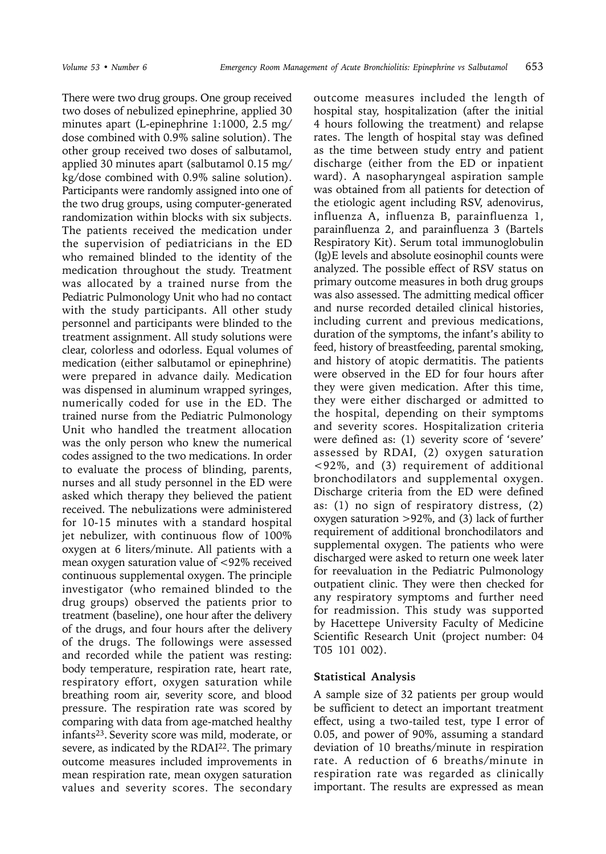There were two drug groups. One group received two doses of nebulized epinephrine, applied 30 minutes apart (L-epinephrine 1:1000, 2.5 mg/ dose combined with 0.9% saline solution). The other group received two doses of salbutamol, applied 30 minutes apart (salbutamol 0.15 mg/ kg/dose combined with 0.9% saline solution). Participants were randomly assigned into one of the two drug groups, using computer-generated randomization within blocks with six subjects. The patients received the medication under the supervision of pediatricians in the ED who remained blinded to the identity of the medication throughout the study. Treatment was allocated by a trained nurse from the Pediatric Pulmonology Unit who had no contact with the study participants. All other study personnel and participants were blinded to the treatment assignment. All study solutions were clear, colorless and odorless. Equal volumes of medication (either salbutamol or epinephrine) were prepared in advance daily. Medication was dispensed in aluminum wrapped syringes, numerically coded for use in the ED. The trained nurse from the Pediatric Pulmonology Unit who handled the treatment allocation was the only person who knew the numerical codes assigned to the two medications. In order to evaluate the process of blinding, parents, nurses and all study personnel in the ED were asked which therapy they believed the patient received. The nebulizations were administered for 10-15 minutes with a standard hospital jet nebulizer, with continuous flow of 100% oxygen at 6 liters/minute. All patients with a mean oxygen saturation value of <92% received continuous supplemental oxygen. The principle investigator (who remained blinded to the drug groups) observed the patients prior to treatment (baseline), one hour after the delivery of the drugs, and four hours after the delivery of the drugs. The followings were assessed and recorded while the patient was resting: body temperature, respiration rate, heart rate, respiratory effort, oxygen saturation while breathing room air, severity score, and blood pressure. The respiration rate was scored by comparing with data from age-matched healthy infants23. Severity score was mild, moderate, or severe, as indicated by the RDAI<sup>22</sup>. The primary outcome measures included improvements in mean respiration rate, mean oxygen saturation values and severity scores. The secondary

outcome measures included the length of hospital stay, hospitalization (after the initial 4 hours following the treatment) and relapse rates. The length of hospital stay was defined as the time between study entry and patient discharge (either from the ED or inpatient ward). A nasopharyngeal aspiration sample was obtained from all patients for detection of the etiologic agent including RSV, adenovirus, influenza A, influenza B, parainfluenza 1, parainfluenza 2, and parainfluenza 3 (Bartels Respiratory Kit). Serum total immunoglobulin (Ig)E levels and absolute eosinophil counts were analyzed. The possible effect of RSV status on primary outcome measures in both drug groups was also assessed. The admitting medical officer and nurse recorded detailed clinical histories, including current and previous medications, duration of the symptoms, the infant's ability to feed, history of breastfeeding, parental smoking, and history of atopic dermatitis. The patients were observed in the ED for four hours after they were given medication. After this time, they were either discharged or admitted to the hospital, depending on their symptoms and severity scores. Hospitalization criteria were defined as: (1) severity score of 'severe' assessed by RDAI, (2) oxygen saturation <92%, and (3) requirement of additional bronchodilators and supplemental oxygen. Discharge criteria from the ED were defined as: (1) no sign of respiratory distress, (2) oxygen saturation >92%, and (3) lack of further requirement of additional bronchodilators and supplemental oxygen. The patients who were discharged were asked to return one week later for reevaluation in the Pediatric Pulmonology outpatient clinic. They were then checked for any respiratory symptoms and further need for readmission. This study was supported by Hacettepe University Faculty of Medicine Scientific Research Unit (project number: 04 T05 101 002).

#### **Statistical Analysis**

A sample size of 32 patients per group would be sufficient to detect an important treatment effect, using a two-tailed test, type I error of 0.05, and power of 90%, assuming a standard deviation of 10 breaths/minute in respiration rate. A reduction of 6 breaths/minute in respiration rate was regarded as clinically important. The results are expressed as mean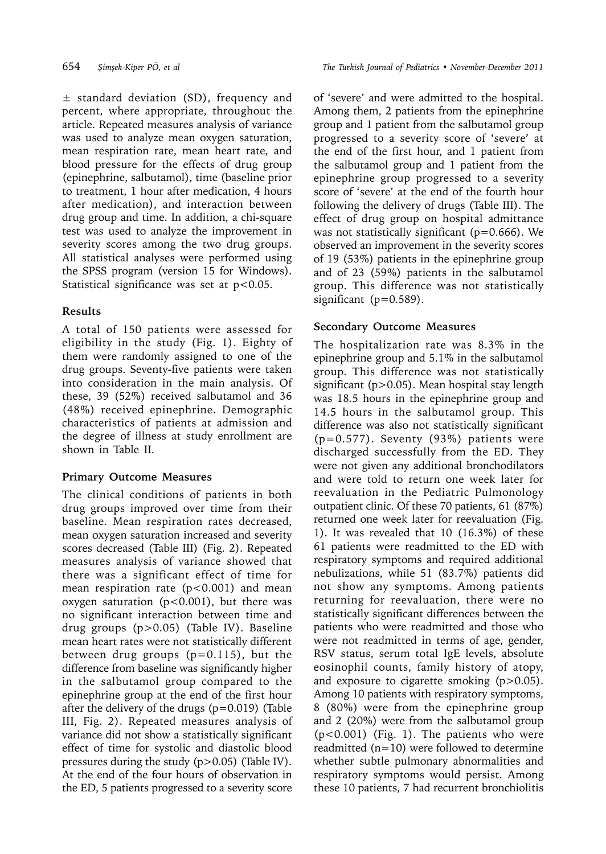± standard deviation (SD), frequency and percent, where appropriate, throughout the article. Repeated measures analysis of variance was used to analyze mean oxygen saturation, mean respiration rate, mean heart rate, and blood pressure for the effects of drug group (epinephrine, salbutamol), time (baseline prior to treatment, 1 hour after medication, 4 hours after medication), and interaction between drug group and time. In addition, a chi-square test was used to analyze the improvement in severity scores among the two drug groups. All statistical analyses were performed using the SPSS program (version 15 for Windows). Statistical significance was set at p<0.05.

# **Results**

A total of 150 patients were assessed for eligibility in the study (Fig. 1). Eighty of them were randomly assigned to one of the drug groups. Seventy-five patients were taken into consideration in the main analysis. Of these, 39 (52%) received salbutamol and 36 (48%) received epinephrine. Demographic characteristics of patients at admission and the degree of illness at study enrollment are shown in Table II.

# **Primary Outcome Measures**

The clinical conditions of patients in both drug groups improved over time from their baseline. Mean respiration rates decreased, mean oxygen saturation increased and severity scores decreased (Table III) (Fig. 2). Repeated measures analysis of variance showed that there was a significant effect of time for mean respiration rate  $(p<0.001)$  and mean oxygen saturation (p<0.001), but there was no significant interaction between time and drug groups (p>0.05) (Table IV). Baseline mean heart rates were not statistically different between drug groups (p=0.115), but the difference from baseline was significantly higher in the salbutamol group compared to the epinephrine group at the end of the first hour after the delivery of the drugs (p=0.019) (Table III, Fig. 2). Repeated measures analysis of variance did not show a statistically significant effect of time for systolic and diastolic blood pressures during the study (p>0.05) (Table IV). At the end of the four hours of observation in the ED, 5 patients progressed to a severity score

of 'severe' and were admitted to the hospital. Among them, 2 patients from the epinephrine group and 1 patient from the salbutamol group progressed to a severity score of 'severe' at the end of the first hour, and 1 patient from the salbutamol group and 1 patient from the epinephrine group progressed to a severity score of 'severe' at the end of the fourth hour following the delivery of drugs (Table III). The effect of drug group on hospital admittance was not statistically significant ( $p=0.666$ ). We observed an improvement in the severity scores of 19 (53%) patients in the epinephrine group and of 23 (59%) patients in the salbutamol group. This difference was not statistically significant (p=0.589).

# **Secondary Outcome Measures**

The hospitalization rate was 8.3% in the epinephrine group and 5.1% in the salbutamol group. This difference was not statistically significant (p>0.05). Mean hospital stay length was 18.5 hours in the epinephrine group and 14.5 hours in the salbutamol group. This difference was also not statistically significant (p=0.577). Seventy (93%) patients were discharged successfully from the ED. They were not given any additional bronchodilators and were told to return one week later for reevaluation in the Pediatric Pulmonology outpatient clinic. Of these 70 patients, 61 (87%) returned one week later for reevaluation (Fig. 1). It was revealed that 10 (16.3%) of these 61 patients were readmitted to the ED with respiratory symptoms and required additional nebulizations, while 51 (83.7%) patients did not show any symptoms. Among patients returning for reevaluation, there were no statistically significant differences between the patients who were readmitted and those who were not readmitted in terms of age, gender, RSV status, serum total IgE levels, absolute eosinophil counts, family history of atopy, and exposure to cigarette smoking (p>0.05). Among 10 patients with respiratory symptoms, 8 (80%) were from the epinephrine group and 2 (20%) were from the salbutamol group (p<0.001) (Fig. 1). The patients who were readmitted  $(n=10)$  were followed to determine whether subtle pulmonary abnormalities and respiratory symptoms would persist. Among these 10 patients, 7 had recurrent bronchiolitis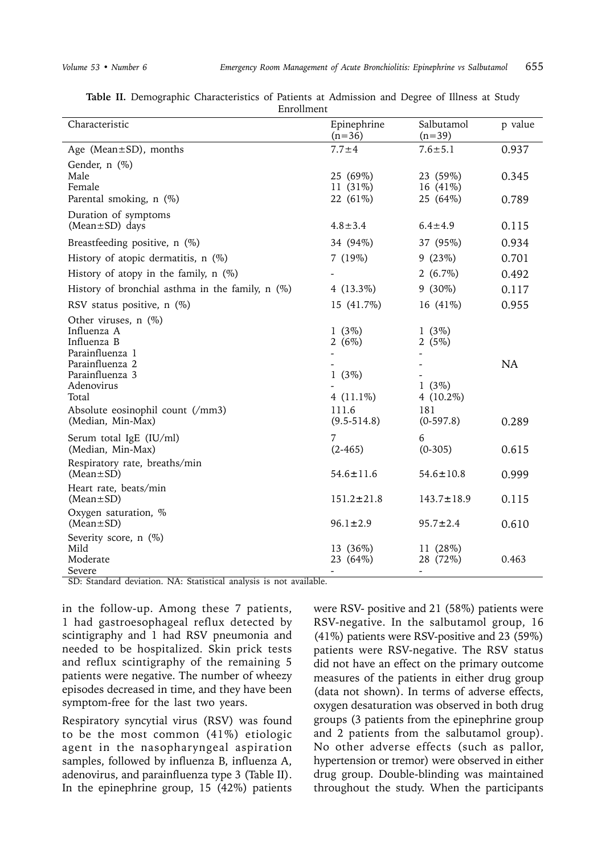| Characteristic                                                                                | Epinephrine<br>$(n=36)$                          | Salbutamol<br>$(n=39)$                           | p value        |
|-----------------------------------------------------------------------------------------------|--------------------------------------------------|--------------------------------------------------|----------------|
| Age (Mean $\pm$ SD), months                                                                   | $7.7 + 4$                                        | $7.6 \pm 5.1$                                    | 0.937          |
| Gender, $n$ $(\%)$<br>Male<br>Female<br>Parental smoking, n (%)                               | 25 (69%)<br>11 (31%)<br>22 (61%)                 | 23 (59%)<br>16 (41%)<br>25 (64%)                 | 0.345<br>0.789 |
| Duration of symptoms<br>(Mean±SD) days                                                        | $4.8 \pm 3.4$                                    | $6.4 \pm 4.9$                                    | 0.115          |
| Breastfeeding positive, n (%)                                                                 | 34 (94%)                                         | 37 (95%)                                         | 0.934          |
| History of atopic dermatitis, n (%)                                                           | 7(19%)                                           | 9(23%)                                           | 0.701          |
| History of atopy in the family, $n$ (%)                                                       |                                                  | $2(6.7\%)$                                       | 0.492          |
| History of bronchial asthma in the family, $n$ (%)                                            | 4 $(13.3\%)$                                     | $9(30\%)$                                        | 0.117          |
| RSV status positive, n (%)                                                                    | 15 (41.7%)                                       | 16 (41%)                                         | 0.955          |
| Other viruses, $n$ (%)<br>Influenza A<br>Influenza B<br>Parainfluenza 1                       | 1(3%)<br>2(6%)                                   | $1(3\%)$<br>2 $(5%)$                             |                |
| Parainfluenza 2<br>Parainfluenza 3<br>Adenovirus<br>Total<br>Absolute eosinophil count (/mm3) | $1(3\%)$<br>4 $(11.1\%)$<br>111.6                | $1(3\%)$<br>4 $(10.2\%)$<br>181                  | <b>NA</b>      |
| (Median, Min-Max)                                                                             | $(9.5 - 514.8)$                                  | $(0-597.8)$                                      | 0.289          |
| Serum total IgE (IU/ml)<br>(Median, Min-Max)                                                  | 7<br>$(2-465)$                                   | 6<br>$(0-305)$                                   | 0.615          |
| Respiratory rate, breaths/min<br>$(Mean \pm SD)$                                              | $54.6 \pm 11.6$                                  | $54.6 \pm 10.8$                                  | 0.999          |
| Heart rate, beats/min<br>$(Mean \pm SD)$                                                      | $151.2 \pm 21.8$                                 | $143.7 \pm 18.9$                                 | 0.115          |
| Oxygen saturation, %<br>$(Mean \pm SD)$                                                       | $96.1 \pm 2.9$                                   | $95.7 \pm 2.4$                                   | 0.610          |
| Severity score, n (%)<br>Mild<br>Moderate<br>Severe                                           | 13 (36%)<br>23 (64%)<br>$\overline{\phantom{0}}$ | 11 (28%)<br>28 (72%)<br>$\overline{\phantom{a}}$ | 0.463          |

**Table II.** Demographic Characteristics of Patients at Admission and Degree of Illness at Study Enrollment

SD: Standard deviation. NA: Statistical analysis is not available.

in the follow-up. Among these 7 patients, 1 had gastroesophageal reflux detected by scintigraphy and 1 had RSV pneumonia and needed to be hospitalized. Skin prick tests and reflux scintigraphy of the remaining 5 patients were negative. The number of wheezy episodes decreased in time, and they have been symptom-free for the last two years.

Respiratory syncytial virus (RSV) was found to be the most common (41%) etiologic agent in the nasopharyngeal aspiration samples, followed by influenza B, influenza A, adenovirus, and parainfluenza type 3 (Table II). In the epinephrine group, 15 (42%) patients were RSV- positive and 21 (58%) patients were RSV-negative. In the salbutamol group, 16 (41%) patients were RSV-positive and 23 (59%) patients were RSV-negative. The RSV status did not have an effect on the primary outcome measures of the patients in either drug group (data not shown). In terms of adverse effects, oxygen desaturation was observed in both drug groups (3 patients from the epinephrine group and 2 patients from the salbutamol group). No other adverse effects (such as pallor, hypertension or tremor) were observed in either drug group. Double-blinding was maintained throughout the study. When the participants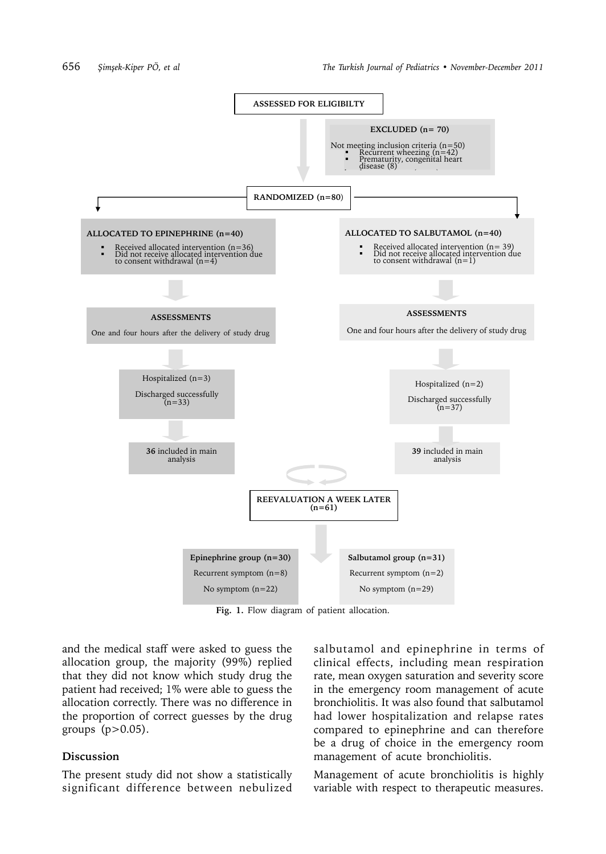

**Fig. 1.** Flow diagram of patient allocation.

and the medical staff were asked to guess the allocation group, the majority (99%) replied that they did not know which study drug the patient had received; 1% were able to guess the allocation correctly. There was no difference in the proportion of correct guesses by the drug groups (p>0.05).

#### **Discussion**

The present study did not show a statistically significant difference between nebulized salbutamol and epinephrine in terms of clinical effects, including mean respiration rate, mean oxygen saturation and severity score in the emergency room management of acute bronchiolitis. It was also found that salbutamol had lower hospitalization and relapse rates compared to epinephrine and can therefore be a drug of choice in the emergency room management of acute bronchiolitis.

Management of acute bronchiolitis is highly variable with respect to therapeutic measures.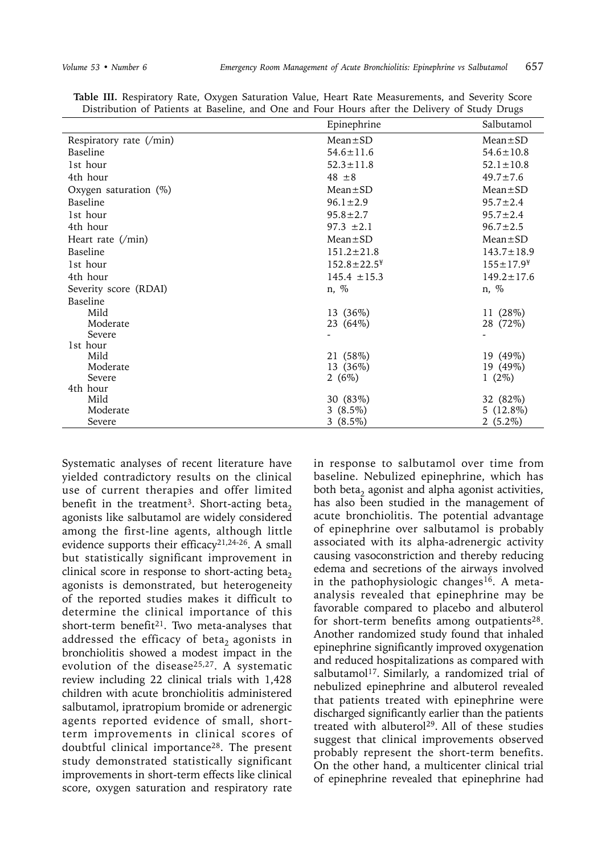|                           | Epinephrine          | Salbutamol                   |
|---------------------------|----------------------|------------------------------|
| Respiratory rate (/min)   | $Mean \pm SD$        | $Mean \pm SD$                |
| Baseline                  | $54.6 \pm 11.6$      | $54.6 \pm 10.8$              |
| 1st hour                  | $52.3 \pm 11.8$      | $52.1 \pm 10.8$              |
| 4th hour                  | $48 \pm 8$           | $49.7 \pm 7.6$               |
| Oxygen saturation (%)     | $Mean \pm SD$        | $Mean \pm SD$                |
| Baseline                  | $96.1 \pm 2.9$       | $95.7 \pm 2.4$               |
| 1st hour                  | $95.8 \pm 2.7$       | $95.7 \pm 2.4$               |
| 4th hour                  | $97.3 \pm 2.1$       | $96.7 \pm 2.5$               |
| Heart rate $(\text{min})$ | $Mean \pm SD$        | $Mean \pm SD$                |
| Baseline                  | $151.2 \pm 21.8$     | $143.7 \pm 18.9$             |
| 1st hour                  | $152.8 \pm 22.5^*$   | $155 \pm 17.9^{\frac{1}{2}}$ |
| 4th hour                  | $145.4 \pm 15.3$     | $149.2 \pm 17.6$             |
| Severity score (RDAI)     | n, %                 | n, %                         |
| Baseline                  |                      |                              |
| Mild                      | 13 (36%)             | 11 (28%)                     |
| Moderate                  | 23 (64%)             | 28 (72%)                     |
| Severe                    |                      |                              |
| 1st hour                  |                      |                              |
| Mild<br>Moderate          | 21 (58%)             | 19 (49%)                     |
| Severe                    | 13 (36%)<br>2 $(6%)$ | 19 (49%)<br>$1(2\%)$         |
| 4th hour                  |                      |                              |
| Mild                      | 30 (83%)             | 32 (82%)                     |
| Moderate                  | $3(8.5\%)$           | $5(12.8\%)$                  |
| Severe                    | $3(8.5\%)$           | $2(5.2\%)$                   |

**Table III.** Respiratory Rate, Oxygen Saturation Value, Heart Rate Measurements, and Severity Score Distribution of Patients at Baseline, and One and Four Hours after the Delivery of Study Drugs

Systematic analyses of recent literature have yielded contradictory results on the clinical use of current therapies and offer limited benefit in the treatment<sup>3</sup>. Short-acting beta<sub>2</sub> agonists like salbutamol are widely considered among the first-line agents, although little evidence supports their efficacy<sup>21,24-26</sup>. A small but statistically significant improvement in clinical score in response to short-acting beta, agonists is demonstrated, but heterogeneity of the reported studies makes it difficult to determine the clinical importance of this short-term benefit<sup>21</sup>. Two meta-analyses that addressed the efficacy of beta<sub>2</sub> agonists in bronchiolitis showed a modest impact in the evolution of the disease<sup>25,27</sup>. A systematic review including 22 clinical trials with 1,428 children with acute bronchiolitis administered salbutamol, ipratropium bromide or adrenergic agents reported evidence of small, shortterm improvements in clinical scores of doubtful clinical importance28. The present study demonstrated statistically significant improvements in short-term effects like clinical score, oxygen saturation and respiratory rate

in response to salbutamol over time from baseline. Nebulized epinephrine, which has both beta<sub>2</sub> agonist and alpha agonist activities, has also been studied in the management of acute bronchiolitis. The potential advantage of epinephrine over salbutamol is probably associated with its alpha-adrenergic activity causing vasoconstriction and thereby reducing edema and secretions of the airways involved in the pathophysiologic changes<sup>16</sup>. A metaanalysis revealed that epinephrine may be favorable compared to placebo and albuterol for short-term benefits among outpatients<sup>28</sup>. Another randomized study found that inhaled epinephrine significantly improved oxygenation and reduced hospitalizations as compared with salbutamol<sup>17</sup>. Similarly, a randomized trial of nebulized epinephrine and albuterol revealed that patients treated with epinephrine were discharged significantly earlier than the patients treated with albuterol<sup>29</sup>. All of these studies suggest that clinical improvements observed probably represent the short-term benefits. On the other hand, a multicenter clinical trial of epinephrine revealed that epinephrine had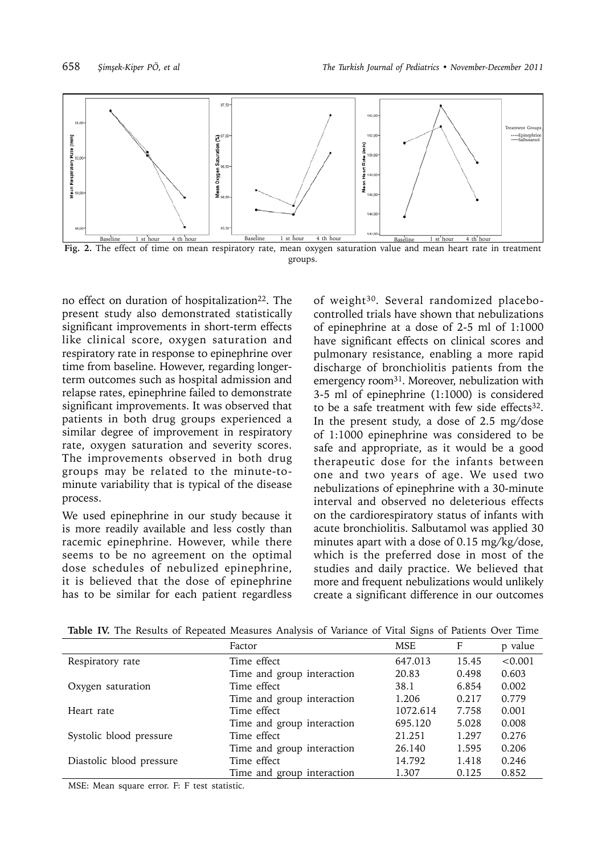



no effect on duration of hospitalization<sup>22</sup>. The present study also demonstrated statistically significant improvements in short-term effects like clinical score, oxygen saturation and respiratory rate in response to epinephrine over time from baseline. However, regarding longerterm outcomes such as hospital admission and relapse rates, epinephrine failed to demonstrate significant improvements. It was observed that patients in both drug groups experienced a similar degree of improvement in respiratory rate, oxygen saturation and severity scores. The improvements observed in both drug groups may be related to the minute-tominute variability that is typical of the disease process.

We used epinephrine in our study because it is more readily available and less costly than racemic epinephrine. However, while there seems to be no agreement on the optimal dose schedules of nebulized epinephrine, it is believed that the dose of epinephrine has to be similar for each patient regardless

of weight30. Several randomized placebocontrolled trials have shown that nebulizations of epinephrine at a dose of 2-5 ml of 1:1000 have significant effects on clinical scores and pulmonary resistance, enabling a more rapid discharge of bronchiolitis patients from the emergency room31. Moreover, nebulization with 3-5 ml of epinephrine (1:1000) is considered to be a safe treatment with few side effects $32$ . In the present study, a dose of 2.5 mg/dose of 1:1000 epinephrine was considered to be safe and appropriate, as it would be a good therapeutic dose for the infants between one and two years of age. We used two nebulizations of epinephrine with a 30-minute interval and observed no deleterious effects on the cardiorespiratory status of infants with acute bronchiolitis. Salbutamol was applied 30 minutes apart with a dose of 0.15 mg/kg/dose, which is the preferred dose in most of the studies and daily practice. We believed that more and frequent nebulizations would unlikely create a significant difference in our outcomes

| Time effect<br>647.013<br>15.45<br>< 0.001<br>Respiratory rate      |  |
|---------------------------------------------------------------------|--|
|                                                                     |  |
| 0.498<br>Time and group interaction<br>20.83<br>0.603               |  |
| Time effect<br>6.854<br>0.002<br>38.1<br>Oxygen saturation          |  |
| 0.779<br>Time and group interaction<br>1.206<br>0.217               |  |
| 1072.614<br>Time effect<br>7.758<br>0.001<br>Heart rate             |  |
| Time and group interaction<br>695.120<br>0.008<br>5.028             |  |
| 0.276<br>Systolic blood pressure<br>Time effect<br>21.251<br>1.297  |  |
| Time and group interaction<br>0.206<br>26.140<br>1.595              |  |
| Time effect<br>14.792<br>0.246<br>Diastolic blood pressure<br>1.418 |  |
| Time and group interaction<br>0.125<br>0.852<br>1.307               |  |

**Table IV.** The Results of Repeated Measures Analysis of Variance of Vital Signs of Patients Over Time

MSE: Mean square error. F: F test statistic.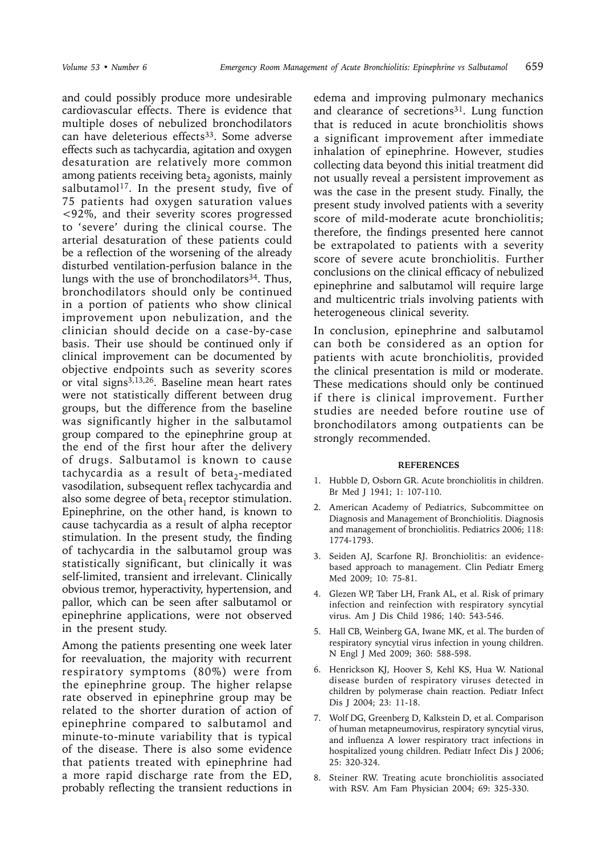and could possibly produce more undesirable cardiovascular effects. There is evidence that multiple doses of nebulized bronchodilators can have deleterious effects<sup>33</sup>. Some adverse effects such as tachycardia, agitation and oxygen desaturation are relatively more common among patients receiving beta<sub>2</sub> agonists, mainly salbutamol<sup>17</sup>. In the present study, five of 75 patients had oxygen saturation values <92%, and their severity scores progressed to 'severe' during the clinical course. The arterial desaturation of these patients could be a reflection of the worsening of the already disturbed ventilation-perfusion balance in the lungs with the use of bronchodilators<sup>34</sup>. Thus, bronchodilators should only be continued in a portion of patients who show clinical improvement upon nebulization, and the clinician should decide on a case-by-case basis. Their use should be continued only if clinical improvement can be documented by objective endpoints such as severity scores or vital signs3,13,26. Baseline mean heart rates were not statistically different between drug groups, but the difference from the baseline was significantly higher in the salbutamol group compared to the epinephrine group at the end of the first hour after the delivery of drugs. Salbutamol is known to cause tachycardia as a result of beta<sub>2</sub>-mediated vasodilation, subsequent reflex tachycardia and also some degree of beta<sub>1</sub> receptor stimulation. Epinephrine, on the other hand, is known to cause tachycardia as a result of alpha receptor stimulation. In the present study, the finding of tachycardia in the salbutamol group was statistically significant, but clinically it was self-limited, transient and irrelevant. Clinically obvious tremor, hyperactivity, hypertension, and pallor, which can be seen after salbutamol or epinephrine applications, were not observed in the present study.

Among the patients presenting one week later for reevaluation, the majority with recurrent respiratory symptoms (80%) were from the epinephrine group. The higher relapse rate observed in epinephrine group may be related to the shorter duration of action of epinephrine compared to salbutamol and minute-to-minute variability that is typical of the disease. There is also some evidence that patients treated with epinephrine had a more rapid discharge rate from the ED, probably reflecting the transient reductions in

edema and improving pulmonary mechanics and clearance of secretions<sup>31</sup>. Lung function that is reduced in acute bronchiolitis shows a significant improvement after immediate inhalation of epinephrine. However, studies collecting data beyond this initial treatment did not usually reveal a persistent improvement as was the case in the present study. Finally, the present study involved patients with a severity score of mild-moderate acute bronchiolitis; therefore, the findings presented here cannot be extrapolated to patients with a severity score of severe acute bronchiolitis. Further conclusions on the clinical efficacy of nebulized epinephrine and salbutamol will require large and multicentric trials involving patients with heterogeneous clinical severity.

In conclusion, epinephrine and salbutamol can both be considered as an option for patients with acute bronchiolitis, provided the clinical presentation is mild or moderate. These medications should only be continued if there is clinical improvement. Further studies are needed before routine use of bronchodilators among outpatients can be strongly recommended.

#### **REFERENCES**

- 1. Hubble D, Osborn GR. Acute bronchiolitis in children. Br Med J 1941; 1: 107-110.
- 2. American Academy of Pediatrics, Subcommittee on Diagnosis and Management of Bronchiolitis. Diagnosis and management of bronchiolitis. Pediatrics 2006; 118: 1774-1793.
- 3. Seiden AJ, Scarfone RJ. Bronchiolitis: an evidencebased approach to management. Clin Pediatr Emerg Med 2009; 10: 75-81.
- 4. Glezen WP, Taber LH, Frank AL, et al. Risk of primary infection and reinfection with respiratory syncytial virus. Am J Dis Child 1986; 140: 543-546.
- 5. Hall CB, Weinberg GA, Iwane MK, et al. The burden of respiratory syncytial virus infection in young children. N Engl J Med 2009; 360: 588-598.
- 6. Henrickson KJ, Hoover S, Kehl KS, Hua W. National disease burden of respiratory viruses detected in children by polymerase chain reaction. Pediatr Infect Dis J 2004; 23: 11-18.
- 7. Wolf DG, Greenberg D, Kalkstein D, et al. Comparison of human metapneumovirus, respiratory syncytial virus, and influenza A lower respiratory tract infections in hospitalized young children. Pediatr Infect Dis J 2006; 25: 320-324.
- 8. Steiner RW. Treating acute bronchiolitis associated with RSV. Am Fam Physician 2004; 69: 325-330.